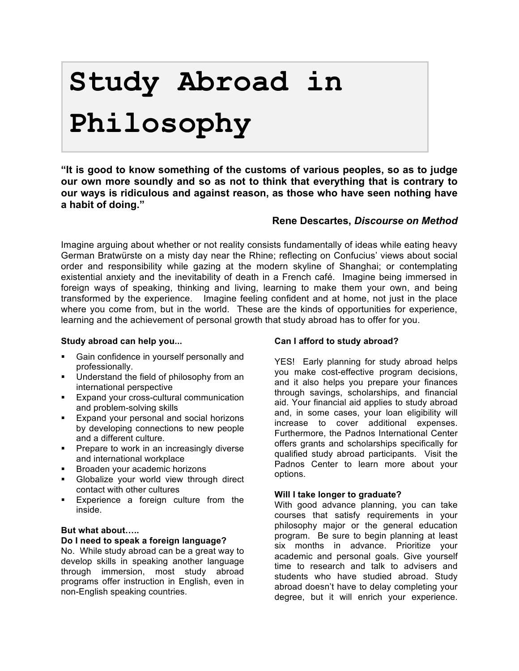# **Study Abroad in Philosophy**

**"It is good to know something of the customs of various peoples, so as to judge our own more soundly and so as not to think that everything that is contrary to our ways is ridiculous and against reason, as those who have seen nothing have a habit of doing."** 

#### **Rene Descartes,** *Discourse on Method*

Imagine arguing about whether or not reality consists fundamentally of ideas while eating heavy German Bratwürste on a misty day near the Rhine; reflecting on Confucius' views about social order and responsibility while gazing at the modern skyline of Shanghai; or contemplating existential anxiety and the inevitability of death in a French café. Imagine being immersed in foreign ways of speaking, thinking and living, learning to make them your own, and being transformed by the experience. Imagine feeling confident and at home, not just in the place where you come from, but in the world. These are the kinds of opportunities for experience, learning and the achievement of personal growth that study abroad has to offer for you.

#### **Study abroad can help you...**

- Gain confidence in yourself personally and professionally.
- **Understand the field of philosophy from an** international perspective
- **Expand your cross-cultural communication** and problem-solving skills
- **Expand your personal and social horizons** by developing connections to new people and a different culture.
- **Prepare to work in an increasingly diverse** and international workplace
- **Broaden your academic horizons**
- **Globalize your world view through direct** contact with other cultures
- **Experience a foreign culture from the** inside.

#### **But what about…..**

#### **Do I need to speak a foreign language?**

No. While study abroad can be a great way to develop skills in speaking another language through immersion, most study abroad programs offer instruction in English, even in non-English speaking countries.

#### **Can I afford to study abroad?**

YES! Early planning for study abroad helps you make cost-effective program decisions, and it also helps you prepare your finances through savings, scholarships, and financial aid. Your financial aid applies to study abroad and, in some cases, your loan eligibility will increase to cover additional expenses. Furthermore, the Padnos International Center offers grants and scholarships specifically for qualified study abroad participants. Visit the Padnos Center to learn more about your options.

#### **Will I take longer to graduate?**

With good advance planning, you can take courses that satisfy requirements in your philosophy major or the general education program. Be sure to begin planning at least six months in advance. Prioritize your academic and personal goals. Give yourself time to research and talk to advisers and students who have studied abroad. Study abroad doesn't have to delay completing your degree, but it will enrich your experience.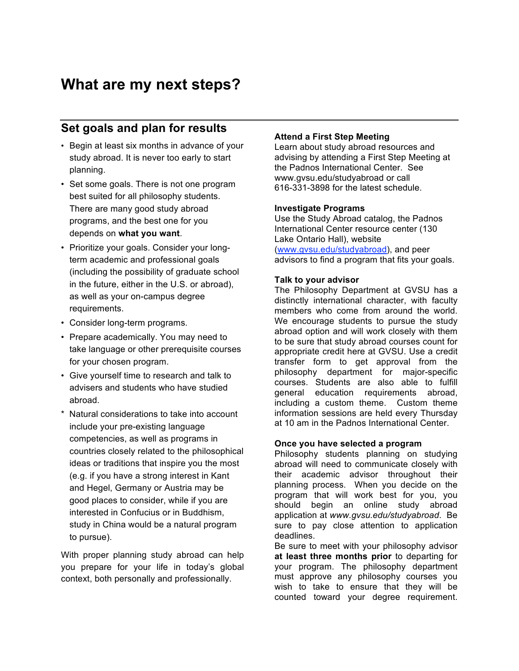## **What are my next steps?**

## **Set goals and plan for results**

- Begin at least six months in advance of your study abroad. It is never too early to start planning.
- Set some goals. There is not one program best suited for all philosophy students. There are many good study abroad programs, and the best one for you depends on **what you want**.
- Prioritize your goals. Consider your longterm academic and professional goals (including the possibility of graduate school in the future, either in the U.S. or abroad), as well as your on-campus degree requirements.
- Consider long-term programs.
- Prepare academically. You may need to take language or other prerequisite courses for your chosen program.
- Give yourself time to research and talk to advisers and students who have studied abroad.
- \* Natural considerations to take into account include your pre-existing language competencies, as well as programs in countries closely related to the philosophical ideas or traditions that inspire you the most (e.g. if you have a strong interest in Kant and Hegel, Germany or Austria may be good places to consider, while if you are interested in Confucius or in Buddhism, study in China would be a natural program to pursue).

With proper planning study abroad can help you prepare for your life in today's global context, both personally and professionally.

#### **Attend a First Step Meeting**

Learn about study abroad resources and advising by attending a First Step Meeting at the Padnos International Center. See www.gvsu.edu/studyabroad or call 616-331-3898 for the latest schedule.

#### **Investigate Programs**

Use the Study Abroad catalog, the Padnos International Center resource center (130 Lake Ontario Hall), website (www.gvsu.edu/studyabroad), and peer advisors to find a program that fits your goals.

#### **Talk to your advisor**

The Philosophy Department at GVSU has a distinctly international character, with faculty members who come from around the world. We encourage students to pursue the study abroad option and will work closely with them to be sure that study abroad courses count for appropriate credit here at GVSU. Use a credit transfer form to get approval from the philosophy department for major-specific courses. Students are also able to fulfill general education requirements abroad, including a custom theme. Custom theme information sessions are held every Thursday at 10 am in the Padnos International Center.

#### **Once you have selected a program**

Philosophy students planning on studying abroad will need to communicate closely with their academic advisor throughout their planning process. When you decide on the program that will work best for you, you should begin an online study abroad application at *www.gvsu.edu/studyabroad*. Be sure to pay close attention to application deadlines.

Be sure to meet with your philosophy advisor **at least three months prior** to departing for your program. The philosophy department must approve any philosophy courses you wish to take to ensure that they will be counted toward your degree requirement.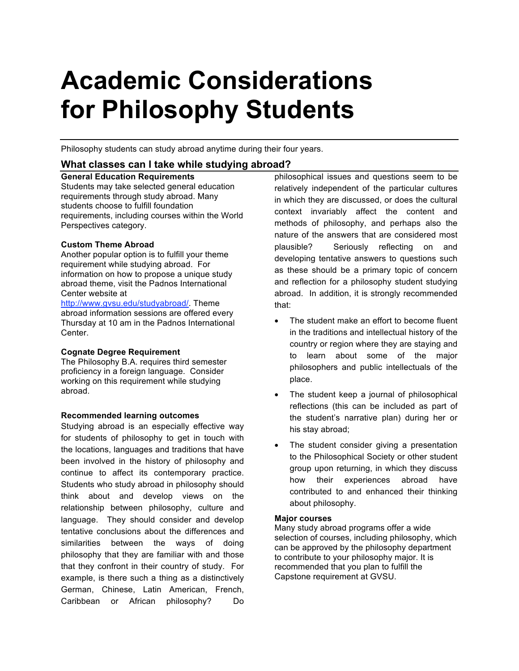## **Academic Considerations for Philosophy Students**

Philosophy students can study abroad anytime during their four years.

#### **What classes can I take while studying abroad?**

#### **General Education Requirements**

Students may take selected general education requirements through study abroad. Many students choose to fulfill foundation requirements, including courses within the World Perspectives category.

#### **Custom Theme Abroad**

Another popular option is to fulfill your theme requirement while studying abroad. For information on how to propose a unique study abroad theme, visit the Padnos International Center website at

http://www.gvsu.edu/studyabroad/. Theme abroad information sessions are offered every Thursday at 10 am in the Padnos International Center.

#### **Cognate Degree Requirement**

The Philosophy B.A. requires third semester proficiency in a foreign language. Consider working on this requirement while studying abroad.

#### **Recommended learning outcomes**

Studying abroad is an especially effective way for students of philosophy to get in touch with the locations, languages and traditions that have been involved in the history of philosophy and continue to affect its contemporary practice. Students who study abroad in philosophy should think about and develop views on the relationship between philosophy, culture and language. They should consider and develop tentative conclusions about the differences and similarities between the ways of doing philosophy that they are familiar with and those that they confront in their country of study. For example, is there such a thing as a distinctively German, Chinese, Latin American, French, Caribbean or African philosophy? Do

philosophical issues and questions seem to be relatively independent of the particular cultures in which they are discussed, or does the cultural context invariably affect the content and methods of philosophy, and perhaps also the nature of the answers that are considered most plausible? Seriously reflecting on and developing tentative answers to questions such as these should be a primary topic of concern and reflection for a philosophy student studying abroad. In addition, it is strongly recommended that:

- The student make an effort to become fluent in the traditions and intellectual history of the country or region where they are staying and to learn about some of the major philosophers and public intellectuals of the place.
- The student keep a journal of philosophical reflections (this can be included as part of the student's narrative plan) during her or his stay abroad;
- The student consider giving a presentation to the Philosophical Society or other student group upon returning, in which they discuss how their experiences abroad have contributed to and enhanced their thinking about philosophy.

#### **Major courses**

Many study abroad programs offer a wide selection of courses, including philosophy, which can be approved by the philosophy department to contribute to your philosophy major. It is recommended that you plan to fulfill the Capstone requirement at GVSU.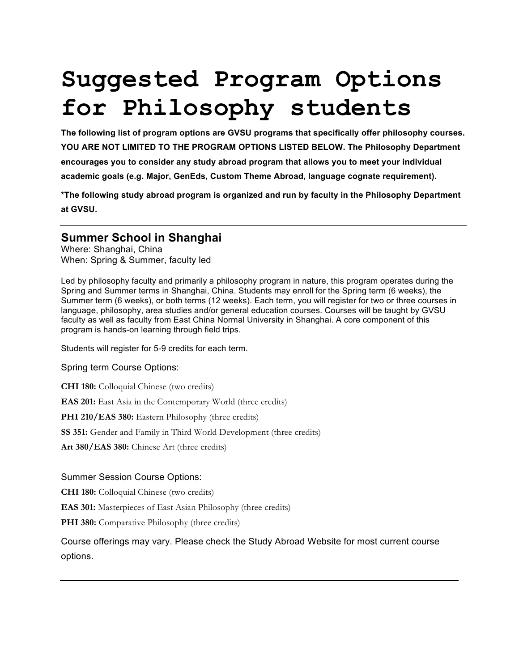## **Suggested Program Options for Philosophy students**

**The following list of program options are GVSU programs that specifically offer philosophy courses. YOU ARE NOT LIMITED TO THE PROGRAM OPTIONS LISTED BELOW. The Philosophy Department encourages you to consider any study abroad program that allows you to meet your individual academic goals (e.g. Major, GenEds, Custom Theme Abroad, language cognate requirement).** 

**\*The following study abroad program is organized and run by faculty in the Philosophy Department at GVSU.**

### **Summer School in Shanghai**

Where: Shanghai, China When: Spring & Summer, faculty led

Led by philosophy faculty and primarily a philosophy program in nature, this program operates during the Spring and Summer terms in Shanghai, China. Students may enroll for the Spring term (6 weeks), the Summer term (6 weeks), or both terms (12 weeks). Each term, you will register for two or three courses in language, philosophy, area studies and/or general education courses. Courses will be taught by GVSU faculty as well as faculty from East China Normal University in Shanghai. A core component of this program is hands-on learning through field trips.

Students will register for 5-9 credits for each term.

Spring term Course Options:

**CHI 180:** Colloquial Chinese (two credits)

**EAS 201:** East Asia in the Contemporary World (three credits)

**PHI 210/EAS 380:** Eastern Philosophy (three credits)

**SS 351:** Gender and Family in Third World Development (three credits)

**Art 380/EAS 380:** Chinese Art (three credits)

#### Summer Session Course Options:

**CHI 180:** Colloquial Chinese (two credits)

**EAS 301:** Masterpieces of East Asian Philosophy (three credits)

**PHI 380:** Comparative Philosophy (three credits)

Course offerings may vary. Please check the Study Abroad Website for most current course options.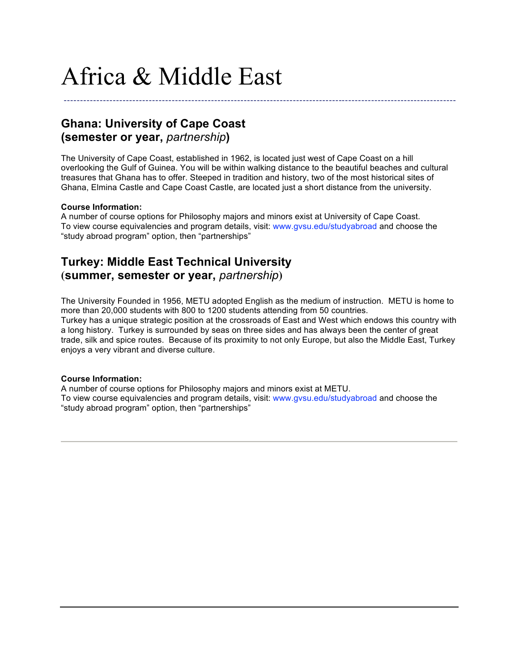## Africa & Middle East

**Ghana: University of Cape Coast (semester or year,** *partnership***)**

The University of Cape Coast, established in 1962, is located just west of Cape Coast on a hill overlooking the Gulf of Guinea. You will be within walking distance to the beautiful beaches and cultural treasures that Ghana has to offer. Steeped in tradition and history, two of the most historical sites of Ghana, Elmina Castle and Cape Coast Castle, are located just a short distance from the university.

------------------------------------------------------------------------------------------------------------------------

#### **Course Information:**

A number of course options for Philosophy majors and minors exist at University of Cape Coast. To view course equivalencies and program details, visit: www.gvsu.edu/studyabroad and choose the "study abroad program" option, then "partnerships"

### **Turkey: Middle East Technical University (summer, semester or year,** *partnership***)**

The University Founded in 1956, METU adopted English as the medium of instruction. METU is home to more than 20,000 students with 800 to 1200 students attending from 50 countries. Turkey has a unique strategic position at the crossroads of East and West which endows this country with a long history. Turkey is surrounded by seas on three sides and has always been the center of great trade, silk and spice routes. Because of its proximity to not only Europe, but also the Middle East, Turkey enjoys a very vibrant and diverse culture.

#### **Course Information:**

A number of course options for Philosophy majors and minors exist at METU. To view course equivalencies and program details, visit: www.gvsu.edu/studyabroad and choose the "study abroad program" option, then "partnerships"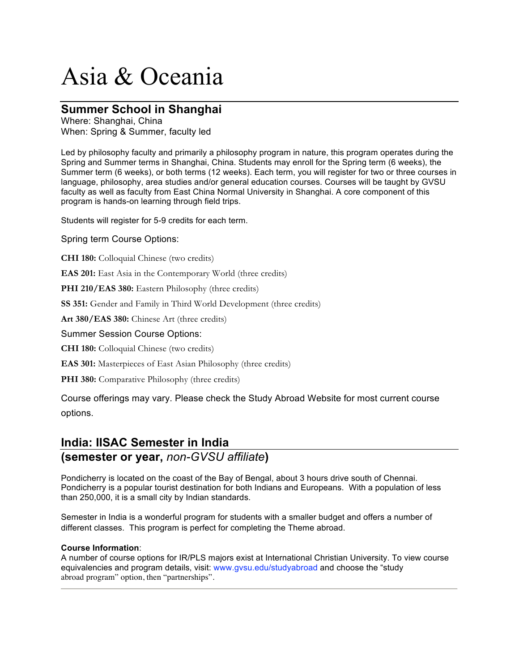## Asia & Oceania

### **Summer School in Shanghai**

Where: Shanghai, China When: Spring & Summer, faculty led

Led by philosophy faculty and primarily a philosophy program in nature, this program operates during the Spring and Summer terms in Shanghai, China. Students may enroll for the Spring term (6 weeks), the Summer term (6 weeks), or both terms (12 weeks). Each term, you will register for two or three courses in language, philosophy, area studies and/or general education courses. Courses will be taught by GVSU faculty as well as faculty from East China Normal University in Shanghai. A core component of this program is hands-on learning through field trips.

Students will register for 5-9 credits for each term.

Spring term Course Options:

**CHI 180:** Colloquial Chinese (two credits)

**EAS 201:** East Asia in the Contemporary World (three credits)

**PHI 210/EAS 380:** Eastern Philosophy (three credits)

**SS 351:** Gender and Family in Third World Development (three credits)

**Art 380/EAS 380:** Chinese Art (three credits)

#### Summer Session Course Options:

**CHI 180:** Colloquial Chinese (two credits)

**EAS 301:** Masterpieces of East Asian Philosophy (three credits)

**PHI 380:** Comparative Philosophy (three credits)

Course offerings may vary. Please check the Study Abroad Website for most current course options.

### **India: IISAC Semester in India (semester or year,** *non-GVSU affiliate***)**

Pondicherry is located on the coast of the Bay of Bengal, about 3 hours drive south of Chennai. Pondicherry is a popular tourist destination for both Indians and Europeans. With a population of less than 250,000, it is a small city by Indian standards.

Semester in India is a wonderful program for students with a smaller budget and offers a number of different classes. This program is perfect for completing the Theme abroad.

#### **Course Information**:

A number of course options for IR/PLS majors exist at International Christian University. To view course equivalencies and program details, visit: www.gvsu.edu/studyabroad and choose the "study abroad program" option, then "partnerships".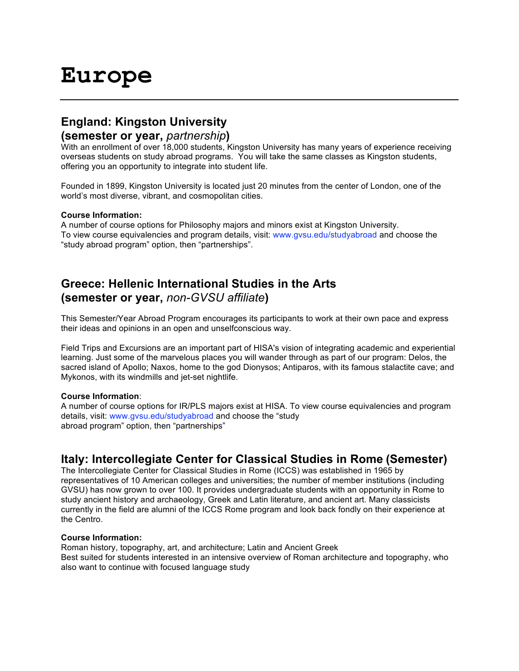## **Europe**

## **England: Kingston University**

#### **(semester or year,** *partnership***)**

With an enrollment of over 18,000 students, Kingston University has many years of experience receiving overseas students on study abroad programs. You will take the same classes as Kingston students, offering you an opportunity to integrate into student life.

Founded in 1899, Kingston University is located just 20 minutes from the center of London, one of the world's most diverse, vibrant, and cosmopolitan cities.

#### **Course Information:**

A number of course options for Philosophy majors and minors exist at Kingston University. To view course equivalencies and program details, visit: www.gvsu.edu/studyabroad and choose the "study abroad program" option, then "partnerships".

## **Greece: Hellenic International Studies in the Arts (semester or year,** *non-GVSU affiliate***)**

This Semester/Year Abroad Program encourages its participants to work at their own pace and express their ideas and opinions in an open and unselfconscious way.

Field Trips and Excursions are an important part of HISA's vision of integrating academic and experiential learning. Just some of the marvelous places you will wander through as part of our program: Delos, the sacred island of Apollo; Naxos, home to the god Dionysos; Antiparos, with its famous stalactite cave; and Mykonos, with its windmills and jet-set nightlife.

#### **Course Information**:

A number of course options for IR/PLS majors exist at HISA. To view course equivalencies and program details, visit: www.gvsu.edu/studyabroad and choose the "study abroad program" option, then "partnerships"

### **Italy: Intercollegiate Center for Classical Studies in Rome (Semester)**

The Intercollegiate Center for Classical Studies in Rome (ICCS) was established in 1965 by representatives of 10 American colleges and universities; the number of member institutions (including GVSU) has now grown to over 100. It provides undergraduate students with an opportunity in Rome to study ancient history and archaeology, Greek and Latin literature, and ancient art. Many classicists currently in the field are alumni of the ICCS Rome program and look back fondly on their experience at the Centro.

#### **Course Information:**

Roman history, topography, art, and architecture; Latin and Ancient Greek Best suited for students interested in an intensive overview of Roman architecture and topography, who also want to continue with focused language study